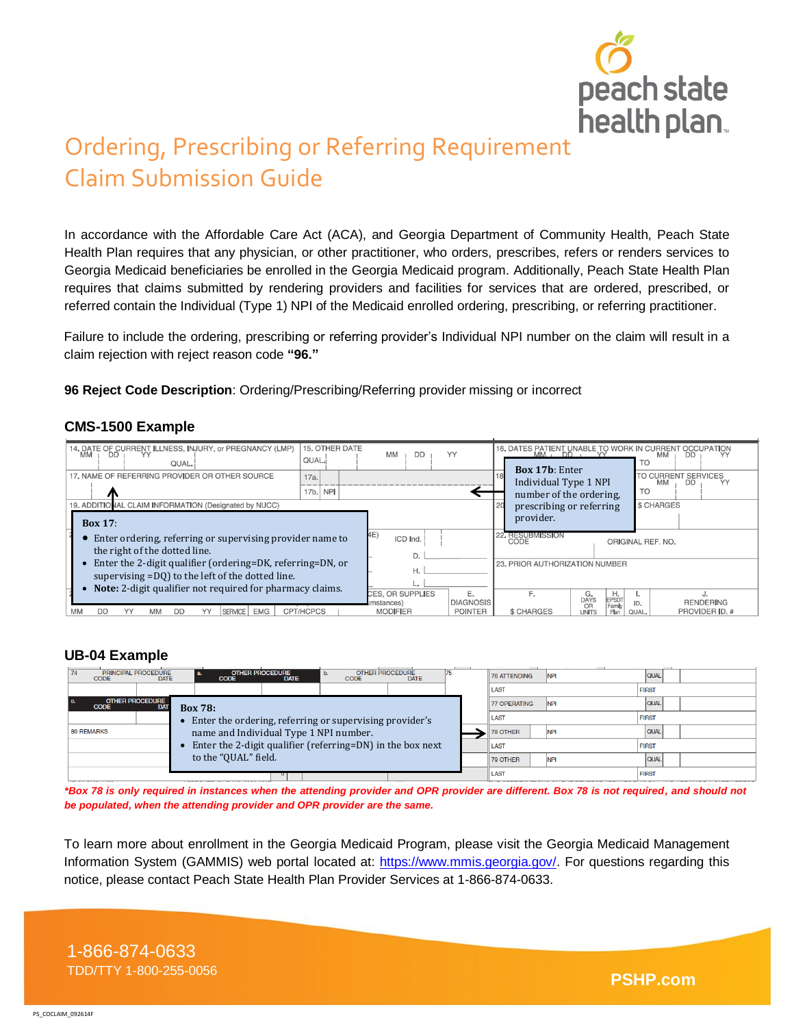

# Ordering, Prescribing or Referring Requirement Claim Submission Guide

In accordance with the Affordable Care Act (ACA), and Georgia Department of Community Health, Peach State Health Plan requires that any physician, or other practitioner, who orders, prescribes, refers or renders services to Georgia Medicaid beneficiaries be enrolled in the Georgia Medicaid program. Additionally, Peach State Health Plan requires that claims submitted by rendering providers and facilities for services that are ordered, prescribed, or referred contain the Individual (Type 1) NPI of the Medicaid enrolled ordering, prescribing, or referring practitioner.

Failure to include the ordering, prescribing or referring provider's Individual NPI number on the claim will result in a claim rejection with reject reason code **"96."**

**96 Reject Code Description**: Ordering/Prescribing/Referring provider missing or incorrect

#### **CMS-1500 Example**

| 14. DATE OF CURRENT ILLNESS, INJURY, or PREGNANCY (LMP)<br>MM   DD   YY<br>QUAL.                                         | 15. OTHER DATE<br>QUAL.                          | МM<br>DD                                 | YY                             | 16. DATES PATIENT UNABLE TO WORK IN CURRENT<br>$MM$ , $DD$ ,<br><b>MM</b><br><b>DD</b><br><b>TO</b><br><b>Box 17b: Enter</b> |                                                           |                   |  |
|--------------------------------------------------------------------------------------------------------------------------|--------------------------------------------------|------------------------------------------|--------------------------------|------------------------------------------------------------------------------------------------------------------------------|-----------------------------------------------------------|-------------------|--|
| 17, NAME OF REFERRING PROVIDER OR OTHER SOURCE<br>17a.                                                                   |                                                  |                                          |                                | Individual Type 1 NPI                                                                                                        | TO CURRENT<br><b>SERVICES</b><br>MM<br>DD                 |                   |  |
| 17 <sub>b</sub><br><b>NPI</b><br>19. ADDITIONAL CLAIM INFORMATION (Designated by NUCC)                                   |                                                  |                                          |                                | <b>TO</b><br>number of the ordering,<br>\$ CHARGES<br>prescribing or referring                                               |                                                           |                   |  |
| <b>Box 17:</b>                                                                                                           |                                                  |                                          | provider.                      |                                                                                                                              |                                                           |                   |  |
| Enter ordering, referring or supervising provider name to<br>the right of the dotted line.                               |                                                  | 4E)<br>ICD Ind.                          |                                | 22. RESUBMISSION<br>CODE                                                                                                     |                                                           | ORIGINAL REF. NO. |  |
| Enter the 2-digit qualifier (ordering=DK, referring=DN, or<br>supervising =DQ) to the left of the dotted line.           |                                                  |                                          | 23. PRIOR AUTHORIZATION NUMBER |                                                                                                                              |                                                           |                   |  |
| Note: 2-digit qualifier not required for pharmacy claims.<br><b>CPT/HCPCS</b><br><b>SERVICE</b><br>EMG<br>MM<br>חח<br>DD | CES, OR SUPPLIES<br>mstances)<br><b>MODIFIER</b> | E.<br><b>DIAGNOSIS</b><br><b>POINTER</b> | F.<br>\$ CHARGES               | G.<br>Η.<br><b>EPSDT</b><br><b>DAYS</b><br>Family<br>OR<br><b>UNITS</b><br>Plan                                              | <b>RENDERING</b><br>ID.<br><b>PROVIDER ID. #</b><br>QUAL. |                   |  |

### **UB-04 Example**

| PRINCIPAL PROCEDURE<br>74<br><b>OTHER PROCEDURE</b><br>a.<br><b>DATE</b><br><b>CODE</b><br><b>DATE</b><br><b>CODE</b> |                                                                                                      | $\mathbf b$ .<br><b>CODE</b> | <b>OTHER PROCEDURE</b><br><b>DATE</b> |             |              | <b>76 ATTENDING</b> | <b>INPI</b>  | <b>QUAL</b>  |  |
|-----------------------------------------------------------------------------------------------------------------------|------------------------------------------------------------------------------------------------------|------------------------------|---------------------------------------|-------------|--------------|---------------------|--------------|--------------|--|
|                                                                                                                       |                                                                                                      |                              |                                       |             | LAST         |                     | <b>FIRST</b> |              |  |
| <b>OTHER PROCEDURE</b><br><b>DAT</b><br><b>CODE</b><br><b>Box 78:</b>                                                 |                                                                                                      |                              |                                       |             |              | <b>77 OPERATING</b> | <b>INPI</b>  | <b>QUAL</b>  |  |
|                                                                                                                       | Enter the ordering, referring or supervising provider's                                              |                              |                                       | <b>LAST</b> |              | <b>FIRST</b>        |              |              |  |
| <b>80 REMARKS</b>                                                                                                     | name and Individual Type 1 NPI number.<br>Enter the 2-digit qualifier (referring=DN) in the box next |                              |                                       |             |              | 78 OTHER            | <b>NPI</b>   | <b>QUAL</b>  |  |
|                                                                                                                       |                                                                                                      |                              |                                       |             |              | <b>LAST</b>         |              | <b>FIRST</b> |  |
|                                                                                                                       | to the "QUAL" field.                                                                                 |                              |                                       |             | 79 OTHER     | <b>NPI</b>          | <b>QUAL</b>  |              |  |
|                                                                                                                       |                                                                                                      |                              | LAST                                  |             | <b>FIRST</b> |                     |              |              |  |

*\*Box 78 is only required in instances when the attending provider and OPR provider are different. Box 78 is not required, and should not be populated, when the attending provider and OPR provider are the same.* 

To learn more about enrollment in the Georgia Medicaid Program, please visit the Georgia Medicaid Management Information System (GAMMIS) web portal located at: [https://www.mmis.georgia.gov/.](https://www.mmis.georgia.gov/) For questions regarding this notice, please contact Peach State Health Plan Provider Services at 1-866-874-0633.

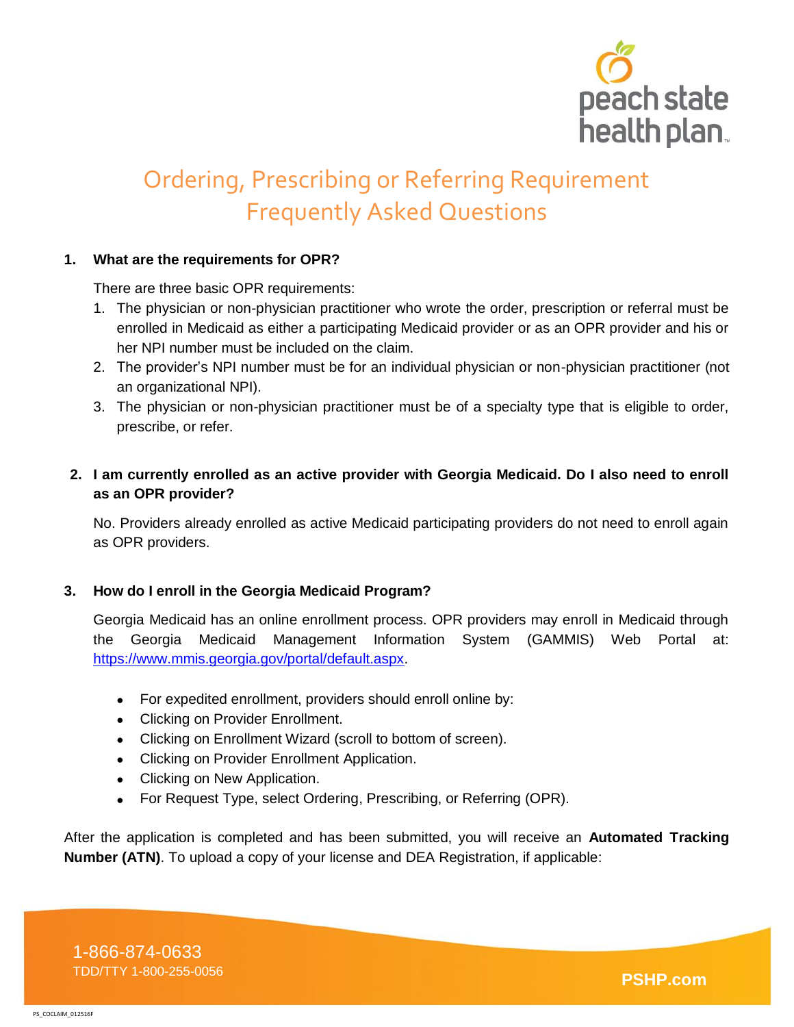

# Ordering, Prescribing or Referring Requirement Frequently Asked Questions

### **1. What are the requirements for OPR?**

There are three basic OPR requirements:

- 1. The physician or non-physician practitioner who wrote the order, prescription or referral must be enrolled in Medicaid as either a participating Medicaid provider or as an OPR provider and his or her NPI number must be included on the claim.
- 2. The provider's NPI number must be for an individual physician or non-physician practitioner (not an organizational NPI).
- 3. The physician or non-physician practitioner must be of a specialty type that is eligible to order, prescribe, or refer.
- **2. I am currently enrolled as an active provider with Georgia Medicaid. Do I also need to enroll as an OPR provider?**

No. Providers already enrolled as active Medicaid participating providers do not need to enroll again as OPR providers.

### **3. How do I enroll in the Georgia Medicaid Program?**

Georgia Medicaid has an online enrollment process. OPR providers may enroll in Medicaid through the Georgia Medicaid Management Information System (GAMMIS) Web Portal at: [https://www.mmis.georgia.gov/portal/default.aspx.](https://www.mmis.georgia.gov/portal/default.aspx)

- For expedited enrollment, providers should enroll online by:
- Clicking on Provider Enrollment.
- Clicking on Enrollment Wizard (scroll to bottom of screen).
- Clicking on Provider Enrollment Application.
- Clicking on New Application.
- For Request Type, select Ordering, Prescribing, or Referring (OPR).

After the application is completed and has been submitted, you will receive an **Automated Tracking Number (ATN)**. To upload a copy of your license and DEA Registration, if applicable: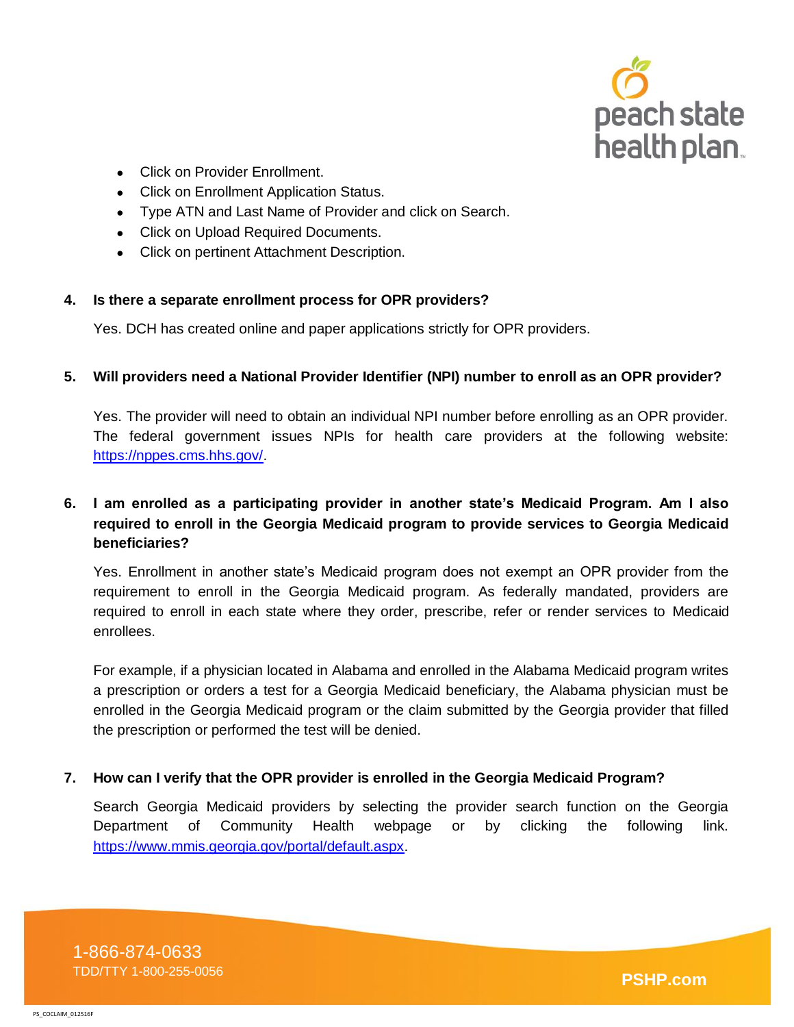

- Click on Provider Enrollment.
- Click on Enrollment Application Status.
- Type ATN and Last Name of Provider and click on Search.
- Click on Upload Required Documents.
- Click on pertinent Attachment Description.

#### **4. Is there a separate enrollment process for OPR providers?**

Yes. DCH has created online and paper applications strictly for OPR providers.

#### **5. Will providers need a National Provider Identifier (NPI) number to enroll as an OPR provider?**

Yes. The provider will need to obtain an individual NPI number before enrolling as an OPR provider. The federal government issues NPIs for health care providers at the following website: [https://nppes.cms.hhs.gov/.](https://nppes.cms.hhs.gov/)

## **6. I am enrolled as a participating provider in another state's Medicaid Program. Am I also required to enroll in the Georgia Medicaid program to provide services to Georgia Medicaid beneficiaries?**

Yes. Enrollment in another state's Medicaid program does not exempt an OPR provider from the requirement to enroll in the Georgia Medicaid program. As federally mandated, providers are required to enroll in each state where they order, prescribe, refer or render services to Medicaid enrollees.

For example, if a physician located in Alabama and enrolled in the Alabama Medicaid program writes a prescription or orders a test for a Georgia Medicaid beneficiary, the Alabama physician must be enrolled in the Georgia Medicaid program or the claim submitted by the Georgia provider that filled the prescription or performed the test will be denied.

### **7. How can I verify that the OPR provider is enrolled in the Georgia Medicaid Program?**

Search Georgia Medicaid providers by selecting the provider search function on the Georgia Department of Community Health webpage or by clicking the following link. [https://www.mmis.georgia.gov/portal/default.aspx.](https://www.mmis.georgia.gov/portal/default.aspx)

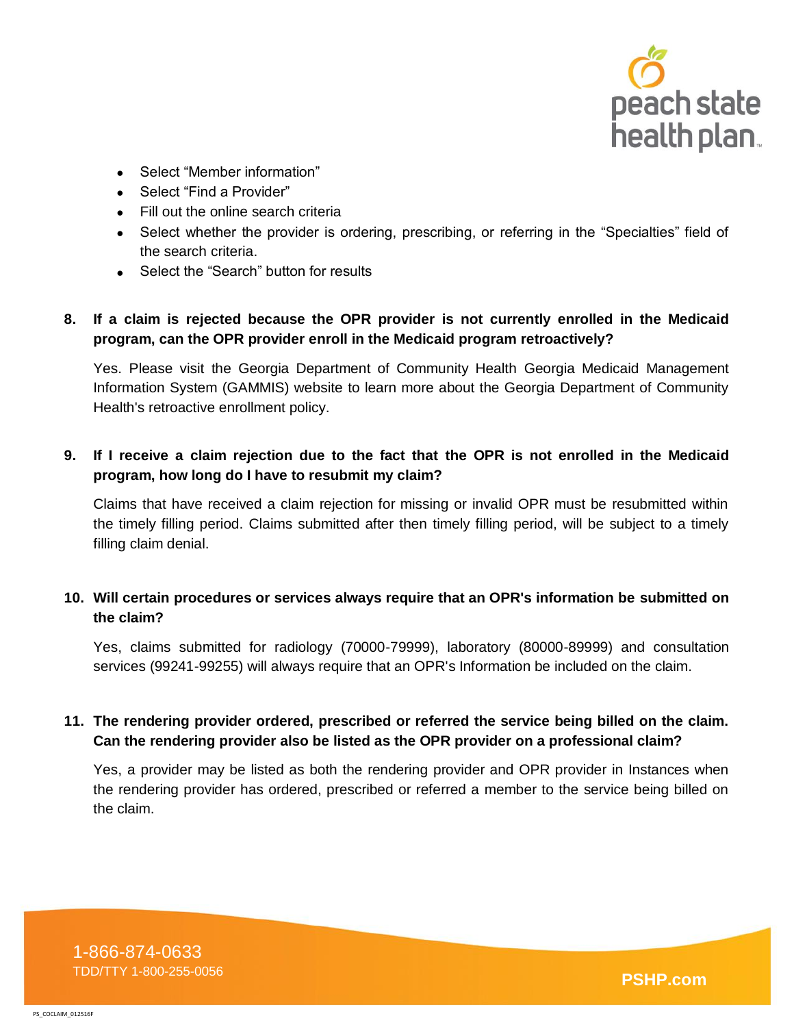

- Select "Member information"
- Select "Find a Provider"
- Fill out the online search criteria
- Select whether the provider is ordering, prescribing, or referring in the "Specialties" field of the search criteria.
- Select the "Search" button for results

## **8. If a claim is rejected because the OPR provider is not currently enrolled in the Medicaid program, can the OPR provider enroll in the Medicaid program retroactively?**

Yes. Please visit the Georgia Department of Community Health Georgia Medicaid Management Information System (GAMMIS) website to learn more about the Georgia Department of Community Health's retroactive enrollment policy.

## **9. If I receive a claim rejection due to the fact that the OPR is not enrolled in the Medicaid program, how long do I have to resubmit my claim?**

Claims that have received a claim rejection for missing or invalid OPR must be resubmitted within the timely filling period. Claims submitted after then timely filling period, will be subject to a timely filling claim denial.

## **10. Will certain procedures or services always require that an OPR's information be submitted on the claim?**

Yes, claims submitted for radiology (70000-79999), laboratory (80000-89999) and consultation services (99241-99255) will always require that an OPR's Information be included on the claim.

## **11. The rendering provider ordered, prescribed or referred the service being billed on the claim. Can the rendering provider also be listed as the OPR provider on a professional claim?**

Yes, a provider may be listed as both the rendering provider and OPR provider in Instances when the rendering provider has ordered, prescribed or referred a member to the service being billed on the claim.